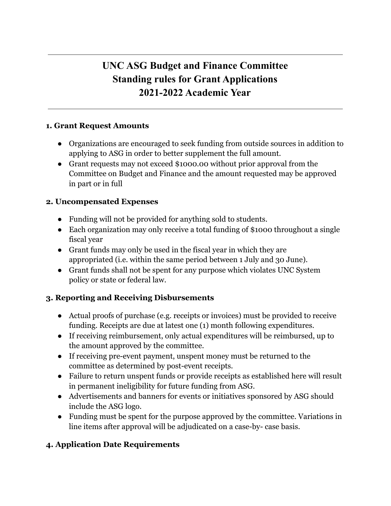# **UNC ASG Budget and Finance Committee Standing rules for Grant Applications 2021-2022 Academic Year**

#### **1. Grant Request Amounts**

- Organizations are encouraged to seek funding from outside sources in addition to applying to ASG in order to better supplement the full amount.
- Grant requests may not exceed \$1000.00 without prior approval from the Committee on Budget and Finance and the amount requested may be approved in part or in full

#### **2. Uncompensated Expenses**

- Funding will not be provided for anything sold to students.
- Each organization may only receive a total funding of \$1000 throughout a single fiscal year
- Grant funds may only be used in the fiscal year in which they are appropriated (i.e. within the same period between 1 July and 30 June).
- Grant funds shall not be spent for any purpose which violates UNC System policy or state or federal law.

### **3. Reporting and Receiving Disbursements**

- Actual proofs of purchase (e.g. receipts or invoices) must be provided to receive funding. Receipts are due at latest one (1) month following expenditures.
- If receiving reimbursement, only actual expenditures will be reimbursed, up to the amount approved by the committee.
- If receiving pre-event payment, unspent money must be returned to the committee as determined by post-event receipts.
- Failure to return unspent funds or provide receipts as established here will result in permanent ineligibility for future funding from ASG.
- Advertisements and banners for events or initiatives sponsored by ASG should include the ASG logo.
- Funding must be spent for the purpose approved by the committee. Variations in line items after approval will be adjudicated on a case-by- case basis.

## **4. Application Date Requirements**